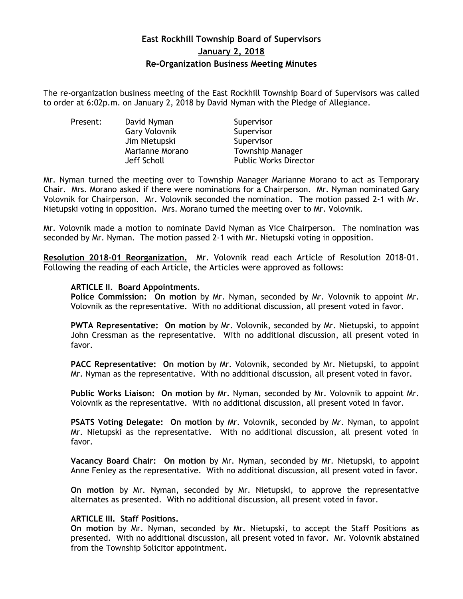# **East Rockhill Township Board of Supervisors January 2, 2018 Re-Organization Business Meeting Minutes**

The re-organization business meeting of the East Rockhill Township Board of Supervisors was called to order at 6:02p.m. on January 2, 2018 by David Nyman with the Pledge of Allegiance.

| Present: | David Nyman          | Supervisor                   |
|----------|----------------------|------------------------------|
|          | <b>Gary Volovnik</b> | Supervisor                   |
|          | Jim Nietupski        | Supervisor                   |
|          | Marianne Morano      | <b>Township Manager</b>      |
|          | Jeff Scholl          | <b>Public Works Director</b> |

Mr. Nyman turned the meeting over to Township Manager Marianne Morano to act as Temporary Chair. Mrs. Morano asked if there were nominations for a Chairperson. Mr. Nyman nominated Gary Volovnik for Chairperson. Mr. Volovnik seconded the nomination. The motion passed 2-1 with Mr. Nietupski voting in opposition. Mrs. Morano turned the meeting over to Mr. Volovnik.

Mr. Volovnik made a motion to nominate David Nyman as Vice Chairperson. The nomination was seconded by Mr. Nyman. The motion passed 2-1 with Mr. Nietupski voting in opposition.

**Resolution 2018-01 Reorganization.** Mr. Volovnik read each Article of Resolution 2018-01. Following the reading of each Article, the Articles were approved as follows:

#### **ARTICLE II. Board Appointments.**

**Police Commission: On motion** by Mr. Nyman, seconded by Mr. Volovnik to appoint Mr. Volovnik as the representative. With no additional discussion, all present voted in favor.

**PWTA Representative: On motion** by Mr. Volovnik, seconded by Mr. Nietupski, to appoint John Cressman as the representative. With no additional discussion, all present voted in favor.

**PACC Representative: On motion** by Mr. Volovnik, seconded by Mr. Nietupski, to appoint Mr. Nyman as the representative. With no additional discussion, all present voted in favor.

**Public Works Liaison: On motion** by Mr. Nyman, seconded by Mr. Volovnik to appoint Mr. Volovnik as the representative. With no additional discussion, all present voted in favor.

**PSATS Voting Delegate: On motion** by Mr. Volovnik, seconded by Mr. Nyman, to appoint Mr. Nietupski as the representative. With no additional discussion, all present voted in favor.

**Vacancy Board Chair: On motion** by Mr. Nyman, seconded by Mr. Nietupski, to appoint Anne Fenley as the representative. With no additional discussion, all present voted in favor.

**On motion** by Mr. Nyman, seconded by Mr. Nietupski, to approve the representative alternates as presented. With no additional discussion, all present voted in favor.

#### **ARTICLE III. Staff Positions.**

**On motion** by Mr. Nyman, seconded by Mr. Nietupski, to accept the Staff Positions as presented. With no additional discussion, all present voted in favor. Mr. Volovnik abstained from the Township Solicitor appointment.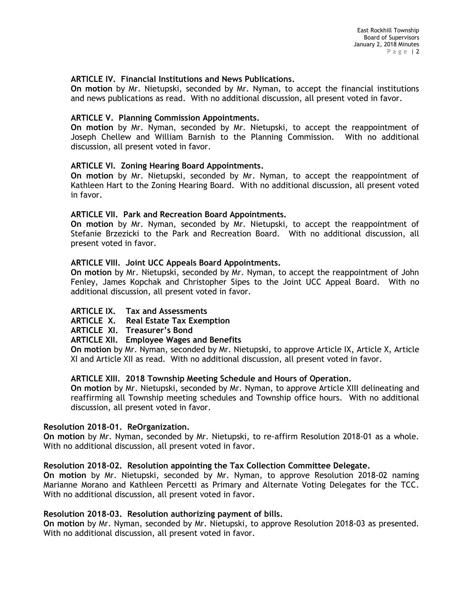# **ARTICLE IV. Financial Institutions and News Publications.**

**On motion** by Mr. Nietupski, seconded by Mr. Nyman, to accept the financial institutions and news publications as read. With no additional discussion, all present voted in favor.

#### **ARTICLE V. Planning Commission Appointments.**

**On motion** by Mr. Nyman, seconded by Mr. Nietupski, to accept the reappointment of Joseph Chellew and William Barnish to the Planning Commission. With no additional discussion, all present voted in favor.

## **ARTICLE VI. Zoning Hearing Board Appointments.**

**On motion** by Mr. Nietupski, seconded by Mr. Nyman, to accept the reappointment of Kathleen Hart to the Zoning Hearing Board. With no additional discussion, all present voted in favor.

## **ARTICLE VII. Park and Recreation Board Appointments.**

**On motion** by Mr. Nyman, seconded by Mr. Nietupski, to accept the reappointment of Stefanie Brzezicki to the Park and Recreation Board. With no additional discussion, all present voted in favor.

## **ARTICLE VIII. Joint UCC Appeals Board Appointments.**

**On motion** by Mr. Nietupski, seconded by Mr. Nyman, to accept the reappointment of John Fenley, James Kopchak and Christopher Sipes to the Joint UCC Appeal Board. With no additional discussion, all present voted in favor.

# **ARTICLE IX. Tax and Assessments**

**ARTICLE X. Real Estate Tax Exemption** 

**ARTICLE XI. Treasurer's Bond**

#### **ARTICLE XII. Employee Wages and Benefits**

**On motion** by Mr. Nyman, seconded by Mr. Nietupski, to approve Article IX, Article X, Article XI and Article XII as read. With no additional discussion, all present voted in favor.

#### **ARTICLE XIII. 2018 Township Meeting Schedule and Hours of Operation.**

**On motion** by Mr. Nietupski, seconded by Mr. Nyman, to approve Article XIII delineating and reaffirming all Township meeting schedules and Township office hours. With no additional discussion, all present voted in favor.

#### **Resolution 2018-01. ReOrganization.**

**On motion** by Mr. Nyman, seconded by Mr. Nietupski, to re-affirm Resolution 2018-01 as a whole. With no additional discussion, all present voted in favor.

#### **Resolution 2018-02. Resolution appointing the Tax Collection Committee Delegate.**

**On motion** by Mr. Nietupski, seconded by Mr. Nyman, to approve Resolution 2018-02 naming Marianne Morano and Kathleen Percetti as Primary and Alternate Voting Delegates for the TCC. With no additional discussion, all present voted in favor.

#### **Resolution 2018-03. Resolution authorizing payment of bills.**

**On motion** by Mr. Nyman, seconded by Mr. Nietupski, to approve Resolution 2018-03 as presented. With no additional discussion, all present voted in favor.